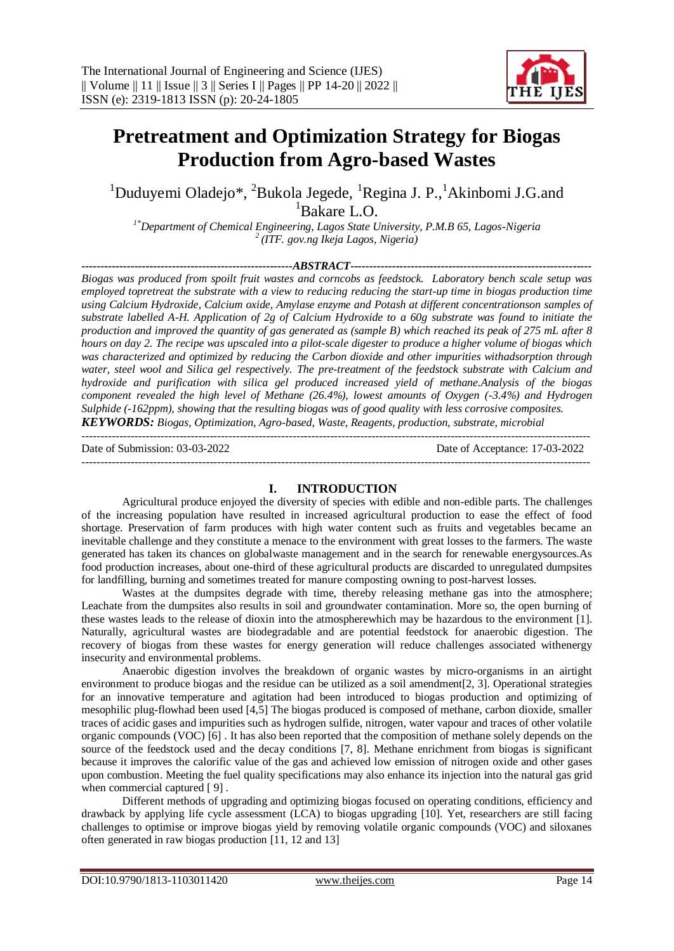---------------------------------------------------------------------------------------------------------------------------------------



# **Pretreatment and Optimization Strategy for Biogas Production from Agro-based Wastes**

<sup>1</sup>Duduyemi Oladejo\*, <sup>2</sup>Bukola Jegede, <sup>1</sup>Regina J. P., <sup>1</sup>Akinbomi J.G.and <sup>1</sup>Bakare L.O.

*1\*Department of Chemical Engineering, Lagos State University, P.M.B 65, Lagos-Nigeria <sup>2</sup>(ITF. gov.ng Ikeja Lagos, Nigeria)*

*--------------------------------------------------------ABSTRACT----------------------------------------------------------------*

*Biogas was produced from spoilt fruit wastes and corncobs as feedstock. Laboratory bench scale setup was employed topretreat the substrate with a view to reducing reducing the start-up time in biogas production time using Calcium Hydroxide, Calcium oxide, Amylase enzyme and Potash at different concentrationson samples of substrate labelled A-H. Application of 2g of Calcium Hydroxide to a 60g substrate was found to initiate the production and improved the quantity of gas generated as (sample B) which reached its peak of 275 mL after 8 hours on day 2. The recipe was upscaled into a pilot-scale digester to produce a higher volume of biogas which*  was characterized and optimized by reducing the Carbon dioxide and other *impurities* withadsorption through *water, steel wool and Silica gel respectively. The pre-treatment of the feedstock substrate with Calcium and hydroxide and purification with silica gel produced increased yield of methane.Analysis of the biogas component revealed the high level of Methane (26.4%), lowest amounts of Oxygen (-3.4%) and Hydrogen Sulphide (-162ppm), showing that the resulting biogas was of good quality with less corrosive composites. KEYWORDS: Biogas, Optimization, Agro-based, Waste, Reagents, production, substrate, microbial*

Date of Submission: 03-03-2022 Date of Acceptance: 17-03-2022

---------------------------------------------------------------------------------------------------------------------------------------

## **I. INTRODUCTION**

Agricultural produce enjoyed the diversity of species with edible and non-edible parts. The challenges of the increasing population have resulted in increased agricultural production to ease the effect of food shortage. Preservation of farm produces with high water content such as fruits and vegetables became an inevitable challenge and they constitute a menace to the environment with great losses to the farmers. The waste generated has taken its chances on globalwaste management and in the search for renewable energysources.As food production increases, about one-third of these agricultural products are discarded to unregulated dumpsites for landfilling, burning and sometimes treated for manure composting owning to post-harvest losses.

Wastes at the dumpsites degrade with time, thereby releasing methane gas into the atmosphere; Leachate from the dumpsites also results in soil and groundwater contamination. More so, the open burning of these wastes leads to the release of dioxin into the atmospherewhich may be hazardous to the environment [1]. Naturally, agricultural wastes are biodegradable and are potential feedstock for anaerobic digestion. The recovery of biogas from these wastes for energy generation will reduce challenges associated withenergy insecurity and environmental problems.

Anaerobic digestion involves the breakdown of organic wastes by micro-organisms in an airtight environment to produce biogas and the residue can be utilized as a soil amendment[2, 3]. Operational strategies for an innovative temperature and agitation had been introduced to biogas production and optimizing of mesophilic plug-flowhad been used [4,5] The biogas produced is composed of methane, carbon dioxide, smaller traces of acidic gases and impurities such as hydrogen sulfide, nitrogen, water vapour and traces of other volatile organic compounds (VOC) [6] . It has also been reported that the composition of methane solely depends on the source of the feedstock used and the decay conditions [7, 8]. Methane enrichment from biogas is significant because it improves the calorific value of the gas and achieved low emission of nitrogen oxide and other gases upon combustion. Meeting the fuel quality specifications may also enhance its injection into the natural gas grid when commercial captured [9].

Different methods of upgrading and optimizing biogas focused on operating conditions, efficiency and drawback by applying life cycle assessment (LCA) to biogas upgrading [10]. Yet, researchers are still facing challenges to optimise or improve biogas yield by removing volatile organic compounds (VOC) and siloxanes often generated in raw biogas production [11, 12 and 13]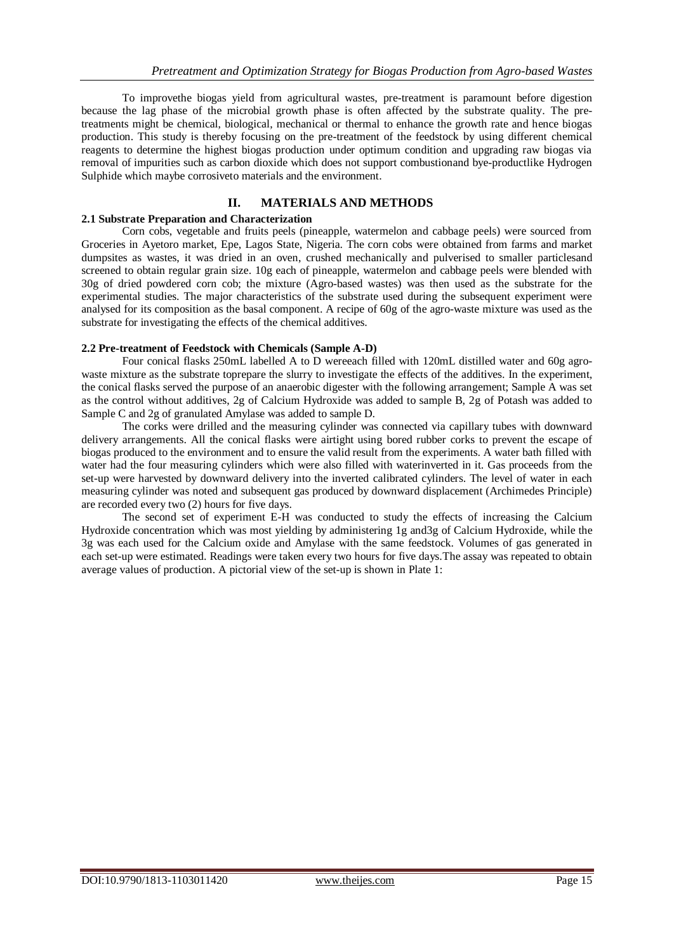To improvethe biogas yield from agricultural wastes, pre-treatment is paramount before digestion because the lag phase of the microbial growth phase is often affected by the substrate quality. The pretreatments might be chemical, biological, mechanical or thermal to enhance the growth rate and hence biogas production. This study is thereby focusing on the pre-treatment of the feedstock by using different chemical reagents to determine the highest biogas production under optimum condition and upgrading raw biogas via removal of impurities such as carbon dioxide which does not support combustionand bye-productlike Hydrogen Sulphide which maybe corrosiveto materials and the environment.

# **II. MATERIALS AND METHODS**

#### **2.1 Substrate Preparation and Characterization**

Corn cobs, vegetable and fruits peels (pineapple, watermelon and cabbage peels) were sourced from Groceries in Ayetoro market, Epe, Lagos State, Nigeria. The corn cobs were obtained from farms and market dumpsites as wastes, it was dried in an oven, crushed mechanically and pulverised to smaller particlesand screened to obtain regular grain size. 10g each of pineapple, watermelon and cabbage peels were blended with 30g of dried powdered corn cob; the mixture (Agro-based wastes) was then used as the substrate for the experimental studies. The major characteristics of the substrate used during the subsequent experiment were analysed for its composition as the basal component. A recipe of 60g of the agro-waste mixture was used as the substrate for investigating the effects of the chemical additives.

#### **2.2 Pre-treatment of Feedstock with Chemicals (Sample A-D)**

Four conical flasks 250mL labelled A to D wereeach filled with 120mL distilled water and 60g agrowaste mixture as the substrate toprepare the slurry to investigate the effects of the additives. In the experiment, the conical flasks served the purpose of an anaerobic digester with the following arrangement; Sample A was set as the control without additives, 2g of Calcium Hydroxide was added to sample B, 2g of Potash was added to Sample C and 2g of granulated Amylase was added to sample D.

The corks were drilled and the measuring cylinder was connected via capillary tubes with downward delivery arrangements. All the conical flasks were airtight using bored rubber corks to prevent the escape of biogas produced to the environment and to ensure the valid result from the experiments. A water bath filled with water had the four measuring cylinders which were also filled with waterinverted in it. Gas proceeds from the set-up were harvested by downward delivery into the inverted calibrated cylinders. The level of water in each measuring cylinder was noted and subsequent gas produced by downward displacement (Archimedes Principle) are recorded every two (2) hours for five days.

The second set of experiment E-H was conducted to study the effects of increasing the Calcium Hydroxide concentration which was most yielding by administering 1g and3g of Calcium Hydroxide, while the 3g was each used for the Calcium oxide and Amylase with the same feedstock. Volumes of gas generated in each set-up were estimated. Readings were taken every two hours for five days.The assay was repeated to obtain average values of production. A pictorial view of the set-up is shown in Plate 1: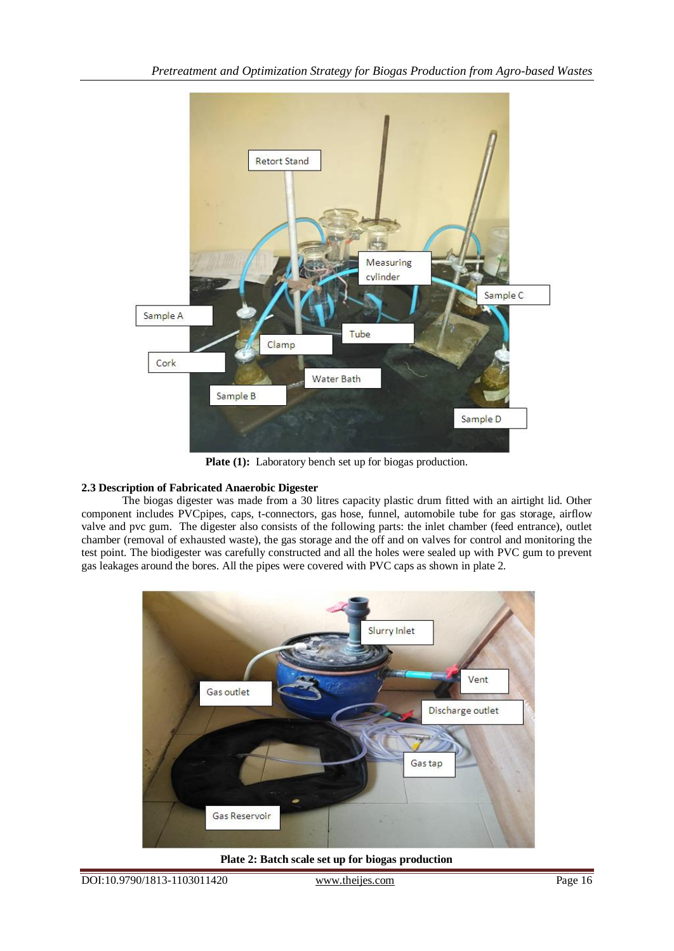

Plate (1): Laboratory bench set up for biogas production.

# **2.3 Description of Fabricated Anaerobic Digester**

The biogas digester was made from a 30 litres capacity plastic drum fitted with an airtight lid. Other component includes PVCpipes, caps, t-connectors, gas hose, funnel, automobile tube for gas storage, airflow valve and pvc gum. The digester also consists of the following parts: the inlet chamber (feed entrance), outlet chamber (removal of exhausted waste), the gas storage and the off and on valves for control and monitoring the test point. The biodigester was carefully constructed and all the holes were sealed up with PVC gum to prevent gas leakages around the bores. All the pipes were covered with PVC caps as shown in plate 2.



**Plate 2: Batch scale set up for biogas production**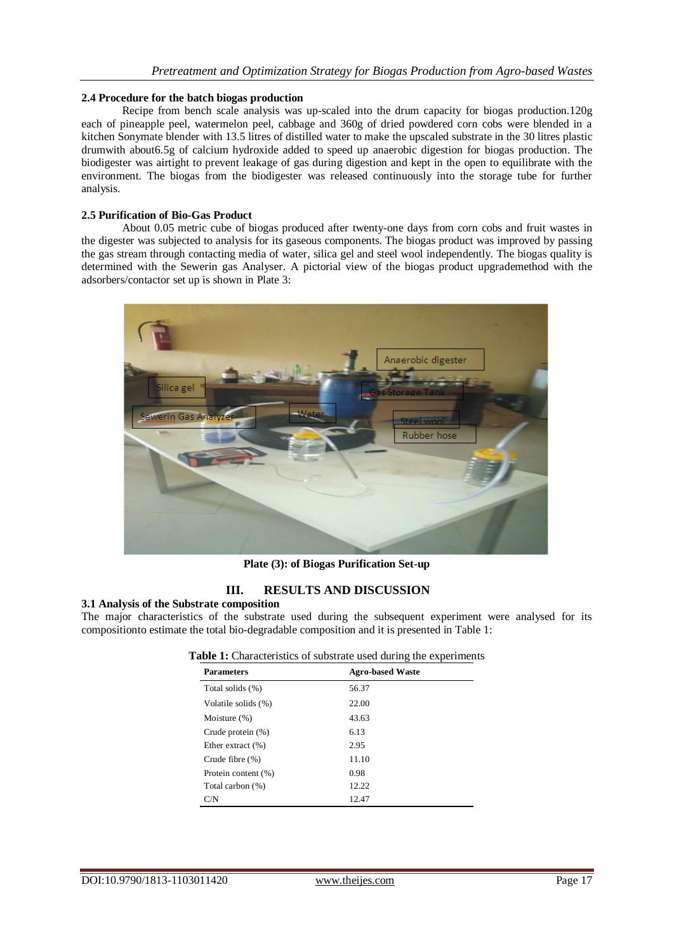#### **2.4 Procedure for the batch biogas production**

Recipe from bench scale analysis was up-scaled into the drum capacity for biogas production.120g each of pineapple peel, watermelon peel, cabbage and 360g of dried powdered corn cobs were blended in a kitchen Sonymate blender with 13.5 litres of distilled water to make the upscaled substrate in the 30 litres plastic drumwith about6.5g of calcium hydroxide added to speed up anaerobic digestion for biogas production. The biodigester was airtight to prevent leakage of gas during digestion and kept in the open to equilibrate with the environment. The biogas from the biodigester was released continuously into the storage tube for further analysis.

### **2.5 Purification of Bio-Gas Product**

About 0.05 metric cube of biogas produced after twenty-one days from corn cobs and fruit wastes in the digester was subjected to analysis for its gaseous components. The biogas product was improved by passing the gas stream through contacting media of water, silica gel and steel wool independently. The biogas quality is determined with the Sewerin gas Analyser. A pictorial view of the biogas product upgrademethod with the adsorbers/contactor set up is shown in Plate 3:



**Plate (3): of Biogas Purification Set-up**

# **III. RESULTS AND DISCUSSION**

#### **3.1 Analysis of the Substrate composition**

The major characteristics of the substrate used during the subsequent experiment were analysed for its compositionto estimate the total bio-degradable composition and it is presented in Table 1:

| Table 1: Characteristics of substrate used during the experiments |  |
|-------------------------------------------------------------------|--|
|-------------------------------------------------------------------|--|

| <b>Parameters</b>    | <b>Agro-based Waste</b> |
|----------------------|-------------------------|
| Total solids (%)     | 56.37                   |
| Volatile solids (%)  | 22.00                   |
| Moisture $(\%)$      | 43.63                   |
| Crude protein $(\%)$ | 6.13                    |
| Ether extract $(\%)$ | 2.95                    |
| Crude fibre $(\%)$   | 11.10                   |
| Protein content (%)  | 0.98                    |
| Total carbon (%)     | 12.22                   |
| C/N                  | 12.47                   |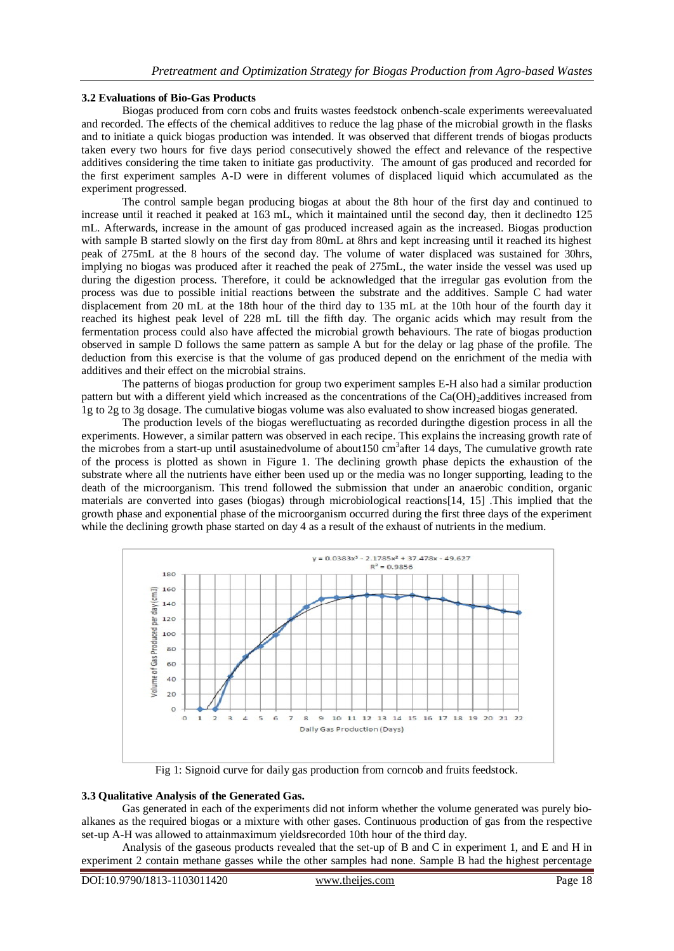#### **3.2 Evaluations of Bio-Gas Products**

Biogas produced from corn cobs and fruits wastes feedstock onbench-scale experiments wereevaluated and recorded. The effects of the chemical additives to reduce the lag phase of the microbial growth in the flasks and to initiate a quick biogas production was intended. It was observed that different trends of biogas products taken every two hours for five days period consecutively showed the effect and relevance of the respective additives considering the time taken to initiate gas productivity. The amount of gas produced and recorded for the first experiment samples A-D were in different volumes of displaced liquid which accumulated as the experiment progressed.

The control sample began producing biogas at about the 8th hour of the first day and continued to increase until it reached it peaked at 163 mL, which it maintained until the second day, then it declinedto 125 mL. Afterwards, increase in the amount of gas produced increased again as the increased. Biogas production with sample B started slowly on the first day from 80mL at 8hrs and kept increasing until it reached its highest peak of 275mL at the 8 hours of the second day. The volume of water displaced was sustained for 30hrs, implying no biogas was produced after it reached the peak of 275mL, the water inside the vessel was used up during the digestion process. Therefore, it could be acknowledged that the irregular gas evolution from the process was due to possible initial reactions between the substrate and the additives. Sample C had water displacement from 20 mL at the 18th hour of the third day to 135 mL at the 10th hour of the fourth day it reached its highest peak level of 228 mL till the fifth day. The organic acids which may result from the fermentation process could also have affected the microbial growth behaviours. The rate of biogas production observed in sample D follows the same pattern as sample A but for the delay or lag phase of the profile. The deduction from this exercise is that the volume of gas produced depend on the enrichment of the media with additives and their effect on the microbial strains.

The patterns of biogas production for group two experiment samples E-H also had a similar production pattern but with a different yield which increased as the concentrations of the Ca(OH)<sub>2</sub>additives increased from 1g to 2g to 3g dosage. The cumulative biogas volume was also evaluated to show increased biogas generated.

The production levels of the biogas werefluctuating as recorded duringthe digestion process in all the experiments. However, a similar pattern was observed in each recipe. This explains the increasing growth rate of the microbes from a start-up until asustainedvolume of about  $150 \text{ cm}^3$  after 14 days, The cumulative growth rate of the process is plotted as shown in Figure 1. The declining growth phase depicts the exhaustion of the substrate where all the nutrients have either been used up or the media was no longer supporting, leading to the death of the microorganism. This trend followed the submission that under an anaerobic condition, organic materials are converted into gases (biogas) through microbiological reactions[14, 15] .This implied that the growth phase and exponential phase of the microorganism occurred during the first three days of the experiment while the declining growth phase started on day 4 as a result of the exhaust of nutrients in the medium.



Fig 1: Signoid curve for daily gas production from corncob and fruits feedstock.

#### **3.3 Qualitative Analysis of the Generated Gas.**

Gas generated in each of the experiments did not inform whether the volume generated was purely bioalkanes as the required biogas or a mixture with other gases. Continuous production of gas from the respective set-up A-H was allowed to attainmaximum yieldsrecorded 10th hour of the third day.

Analysis of the gaseous products revealed that the set-up of B and C in experiment 1, and E and H in experiment 2 contain methane gasses while the other samples had none. Sample B had the highest percentage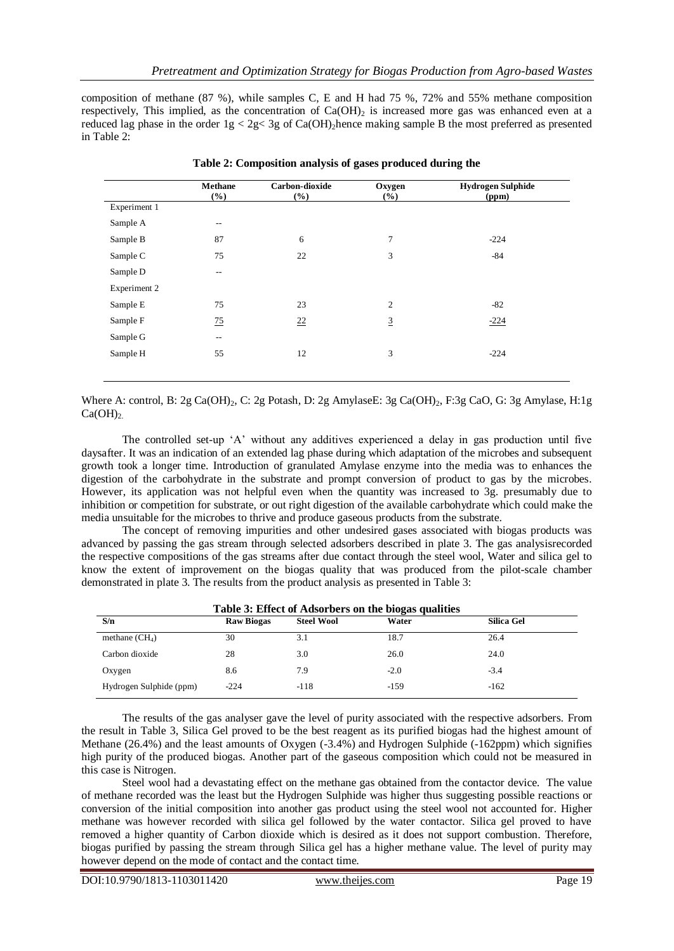composition of methane (87 %), while samples C, E and H had 75 %, 72% and 55% methane composition respectively. This implied, as the concentration of  $Ca(OH)$  is increased more gas was enhanced even at a reduced lag phase in the order  $1g < 2g < 3g$  of Ca(OH)<sub>2</sub> hence making sample B the most preferred as presented in Table 2:

|              | <b>Methane</b><br>(%)    | Carbon-dioxide<br>(%) | Oxygen<br>(%) | <b>Hydrogen Sulphide</b><br>(ppm) |
|--------------|--------------------------|-----------------------|---------------|-----------------------------------|
| Experiment 1 |                          |                       |               |                                   |
| Sample A     | $\qquad \qquad -$        |                       |               |                                   |
| Sample B     | 87                       | 6                     | 7             | $-224$                            |
| Sample C     | 75                       | 22                    | 3             | $-84$                             |
| Sample D     | $\overline{\phantom{m}}$ |                       |               |                                   |
| Experiment 2 |                          |                       |               |                                   |
| Sample E     | 75                       | 23                    | 2             | $-82$                             |
| Sample F     | 75                       | 22                    | 3             | $-224$                            |
| Sample G     | $\overline{\phantom{a}}$ |                       |               |                                   |
| Sample H     | 55                       | 12                    | 3             | $-224$                            |
|              |                          |                       |               |                                   |

**Table 2: Composition analysis of gases produced during the**

Where A: control, B: 2g Ca(OH)<sub>2</sub>, C: 2g Potash, D: 2g AmylaseE: 3g Ca(OH)<sub>2</sub>, F:3g CaO, G: 3g Amylase, H:1g  $Ca(OH)<sub>2</sub>$ .

The controlled set-up 'A' without any additives experienced a delay in gas production until five daysafter. It was an indication of an extended lag phase during which adaptation of the microbes and subsequent growth took a longer time. Introduction of granulated Amylase enzyme into the media was to enhances the digestion of the carbohydrate in the substrate and prompt conversion of product to gas by the microbes. However, its application was not helpful even when the quantity was increased to 3g. presumably due to inhibition or competition for substrate, or out right digestion of the available carbohydrate which could make the media unsuitable for the microbes to thrive and produce gaseous products from the substrate.

The concept of removing impurities and other undesired gases associated with biogas products was advanced by passing the gas stream through selected adsorbers described in plate 3. The gas analysisrecorded the respective compositions of the gas streams after due contact through the steel wool, Water and silica gel to know the extent of improvement on the biogas quality that was produced from the pilot-scale chamber demonstrated in plate 3. The results from the product analysis as presented in Table 3:

| Table 3: Effect of Adsorbers on the biogas qualities |                   |                   |         |                   |  |  |
|------------------------------------------------------|-------------------|-------------------|---------|-------------------|--|--|
| S/n                                                  | <b>Raw Biogas</b> | <b>Steel Wool</b> | Water   | <b>Silica Gel</b> |  |  |
| methane $(CH_4)$                                     | 30                | 3.1               | 18.7    | 26.4              |  |  |
| Carbon dioxide                                       | 28                | 3.0               | 26.0    | 24.0              |  |  |
| Oxygen                                               | 8.6               | 7.9               | $-2.0$  | $-3.4$            |  |  |
| Hydrogen Sulphide (ppm)                              | $-224$            | $-118$            | $-1.59$ | $-162$            |  |  |

The results of the gas analyser gave the level of purity associated with the respective adsorbers. From the result in Table 3, Silica Gel proved to be the best reagent as its purified biogas had the highest amount of Methane (26.4%) and the least amounts of Oxygen (-3.4%) and Hydrogen Sulphide (-162ppm) which signifies high purity of the produced biogas. Another part of the gaseous composition which could not be measured in this case is Nitrogen.

Steel wool had a devastating effect on the methane gas obtained from the contactor device. The value of methane recorded was the least but the Hydrogen Sulphide was higher thus suggesting possible reactions or conversion of the initial composition into another gas product using the steel wool not accounted for. Higher methane was however recorded with silica gel followed by the water contactor. Silica gel proved to have removed a higher quantity of Carbon dioxide which is desired as it does not support combustion. Therefore, biogas purified by passing the stream through Silica gel has a higher methane value. The level of purity may however depend on the mode of contact and the contact time.